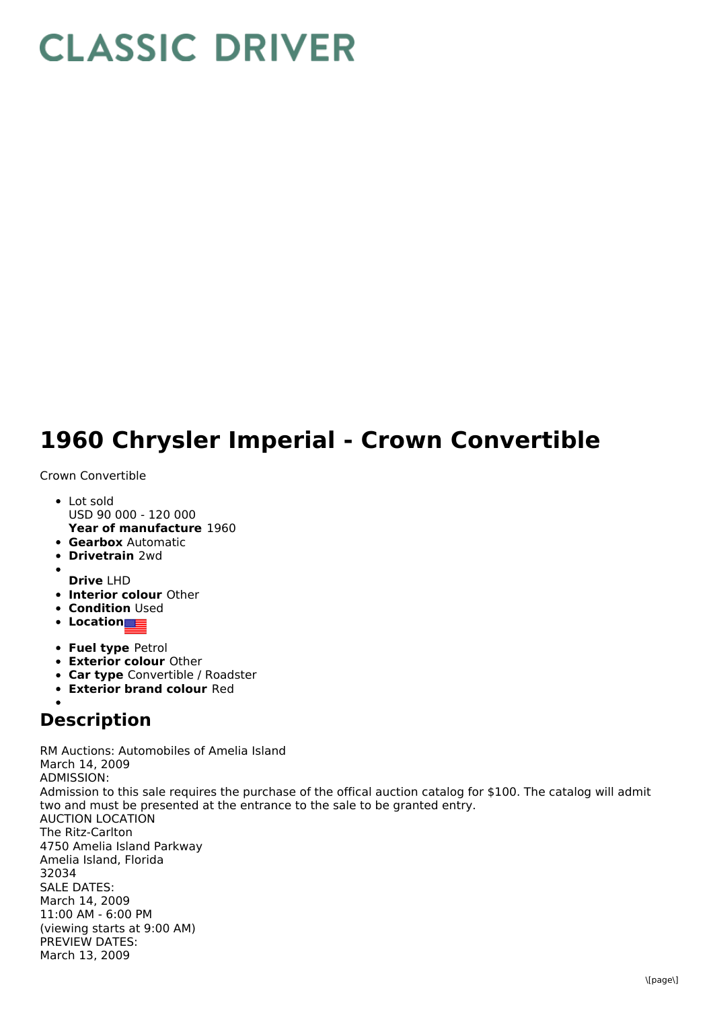## **CLASSIC DRIVER**

## **1960 Chrysler Imperial - Crown Convertible**

## Crown Convertible

- **Year of manufacture** 1960 Lot sold USD 90 000 - 120 000
- **Gearbox** Automatic
- **Drivetrain** 2wd
- 
- **Drive** LHD
- **Interior colour** Other
- **Condition Used**
- **•** Location
- **Fuel type** Petrol
- **Exterior colour** Other
- **Car type** Convertible / Roadster
- **Exterior brand colour** Red

## **Description**

RM Auctions: Automobiles of Amelia Island March 14, 2009 ADMISSION: Admission to this sale requires the purchase of the offical auction catalog for \$100. The catalog will admit two and must be presented at the entrance to the sale to be granted entry. AUCTION LOCATION The Ritz-Carlton 4750 Amelia Island Parkway Amelia Island, Florida 32034 SALE DATES: March 14, 2009 11:00 AM - 6:00 PM (viewing starts at 9:00 AM) PREVIEW DATES: March 13, 2009